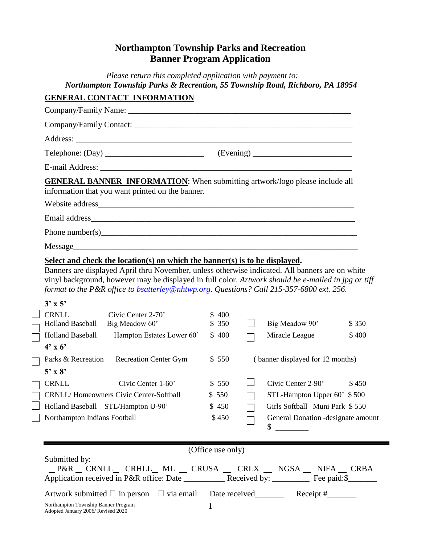## **Northampton Township Parks and Recreation Banner Program Application**

| <b>GENERAL BANNER INFORMATION:</b> When submitting artwork/logo please include all<br>information that you want printed on the banner.                                                                                                                                                                                                                                                          |                         |  |                                           |                |  |
|-------------------------------------------------------------------------------------------------------------------------------------------------------------------------------------------------------------------------------------------------------------------------------------------------------------------------------------------------------------------------------------------------|-------------------------|--|-------------------------------------------|----------------|--|
|                                                                                                                                                                                                                                                                                                                                                                                                 |                         |  |                                           |                |  |
|                                                                                                                                                                                                                                                                                                                                                                                                 |                         |  |                                           |                |  |
| Phone number(s) $\qquad \qquad$ $\qquad \qquad$ $\qquad \qquad$ $\qquad \qquad$ $\qquad \qquad$ $\qquad \qquad$ $\qquad \qquad$ $\qquad \qquad$ $\qquad \qquad$ $\qquad \qquad$ $\qquad \qquad$ $\qquad \qquad$ $\qquad \qquad$ $\qquad \qquad$ $\qquad \qquad$ $\qquad \qquad$ $\qquad \qquad$ $\qquad \qquad$ $\qquad \qquad$ $\qquad \qquad$ $\qquad \qquad$ $\qquad \qquad$ $\qquad \qquad$ |                         |  |                                           |                |  |
| Message                                                                                                                                                                                                                                                                                                                                                                                         |                         |  |                                           |                |  |
| format to the P&R office to <b>bsatterley@nhtwp.org</b> . Questions? Call 215-357-6800 ext. 256.<br>$3'$ x 5'                                                                                                                                                                                                                                                                                   |                         |  |                                           |                |  |
| <b>CRNLL</b><br>Civic Center 2-70'<br>Big Meadow 60'<br><b>Holland Baseball</b><br>Holland Baseball<br>Hampton Estates Lower 60'                                                                                                                                                                                                                                                                | \$400<br>\$350<br>\$400 |  | Big Meadow 90'<br>Miracle League          | \$350<br>\$400 |  |
| $4'$ x 6'                                                                                                                                                                                                                                                                                                                                                                                       |                         |  |                                           |                |  |
| Parks & Recreation<br><b>Recreation Center Gym</b>                                                                                                                                                                                                                                                                                                                                              | \$550                   |  | (banner displayed for 12 months)          |                |  |
| $5'$ x $8'$<br><b>CRNLL</b><br>Civic Center 1-60'                                                                                                                                                                                                                                                                                                                                               | \$550                   |  | Civic Center 2-90'                        | \$450          |  |
| CRNLL/Homeowners Civic Center-Softball                                                                                                                                                                                                                                                                                                                                                          | \$550                   |  | STL-Hampton Upper 60' \$500               |                |  |
| Holland Baseball STL/Hampton U-90'                                                                                                                                                                                                                                                                                                                                                              | \$450                   |  | Girls Softball Muni Park \$550            |                |  |
| Northampton Indians Football                                                                                                                                                                                                                                                                                                                                                                    | \$450                   |  | General Donation - designate amount<br>\$ |                |  |
|                                                                                                                                                                                                                                                                                                                                                                                                 | (Office use only)       |  |                                           |                |  |
| Submitted by:<br>_P&R _ CRNLL_ CRHLL_ ML _ CRUSA __ CRLX __ NGSA __ NIFA __ CRBA                                                                                                                                                                                                                                                                                                                |                         |  |                                           |                |  |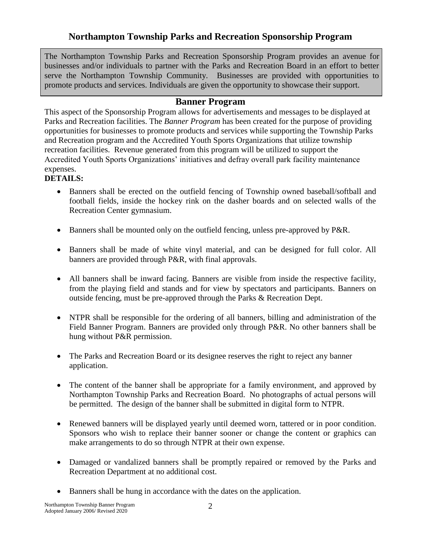The Northampton Township Parks and Recreation Sponsorship Program provides an avenue for businesses and/or individuals to partner with the Parks and Recreation Board in an effort to better serve the Northampton Township Community. Businesses are provided with opportunities to promote products and services. Individuals are given the opportunity to showcase their support.

# **Banner Program**

This aspect of the Sponsorship Program allows for advertisements and messages to be displayed at Parks and Recreation facilities. The *Banner Program* has been created for the purpose of providing opportunities for businesses to promote products and services while supporting the Township Parks and Recreation program and the Accredited Youth Sports Organizations that utilize township recreation facilities. Revenue generated from this program will be utilized to support the Accredited Youth Sports Organizations' initiatives and defray overall park facility maintenance expenses.

### **DETAILS:**

- Banners shall be erected on the outfield fencing of Township owned baseball/softball and football fields, inside the hockey rink on the dasher boards and on selected walls of the Recreation Center gymnasium.
- Banners shall be mounted only on the outfield fencing, unless pre-approved by P&R.
- Banners shall be made of white vinyl material, and can be designed for full color. All banners are provided through P&R, with final approvals.
- All banners shall be inward facing. Banners are visible from inside the respective facility, from the playing field and stands and for view by spectators and participants. Banners on outside fencing, must be pre-approved through the Parks & Recreation Dept.
- NTPR shall be responsible for the ordering of all banners, billing and administration of the Field Banner Program. Banners are provided only through P&R. No other banners shall be hung without P&R permission.
- The Parks and Recreation Board or its designee reserves the right to reject any banner application.
- The content of the banner shall be appropriate for a family environment, and approved by Northampton Township Parks and Recreation Board. No photographs of actual persons will be permitted. The design of the banner shall be submitted in digital form to NTPR.
- Renewed banners will be displayed yearly until deemed worn, tattered or in poor condition. Sponsors who wish to replace their banner sooner or change the content or graphics can make arrangements to do so through NTPR at their own expense.
- Damaged or vandalized banners shall be promptly repaired or removed by the Parks and Recreation Department at no additional cost.
- Banners shall be hung in accordance with the dates on the application.